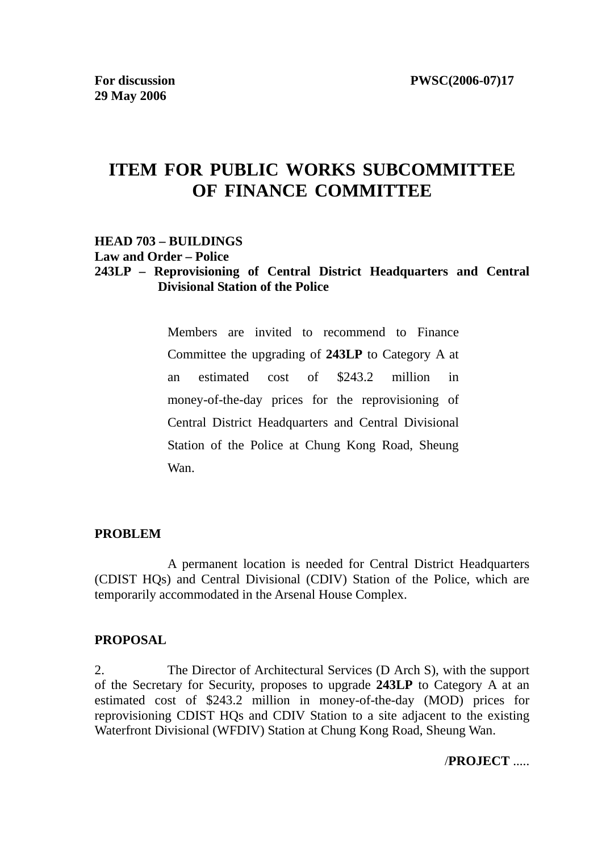# **ITEM FOR PUBLIC WORKS SUBCOMMITTEE OF FINANCE COMMITTEE**

#### **HEAD 703 – BUILDINGS**

**Law and Order – Police** 

#### **243LP – Reprovisioning of Central District Headquarters and Central Divisional Station of the Police**

Members are invited to recommend to Finance Committee the upgrading of **243LP** to Category A at an estimated cost of \$243.2 million in money-of-the-day prices for the reprovisioning of Central District Headquarters and Central Divisional Station of the Police at Chung Kong Road, Sheung Wan.

#### **PROBLEM**

 A permanent location is needed for Central District Headquarters (CDIST HQs) and Central Divisional (CDIV) Station of the Police, which are temporarily accommodated in the Arsenal House Complex.

#### **PROPOSAL**

2. The Director of Architectural Services (D Arch S), with the support of the Secretary for Security, proposes to upgrade **243LP** to Category A at an estimated cost of \$243.2 million in money-of-the-day (MOD) prices for reprovisioning CDIST HQs and CDIV Station to a site adjacent to the existing Waterfront Divisional (WFDIV) Station at Chung Kong Road, Sheung Wan.

#### /**PROJECT** .....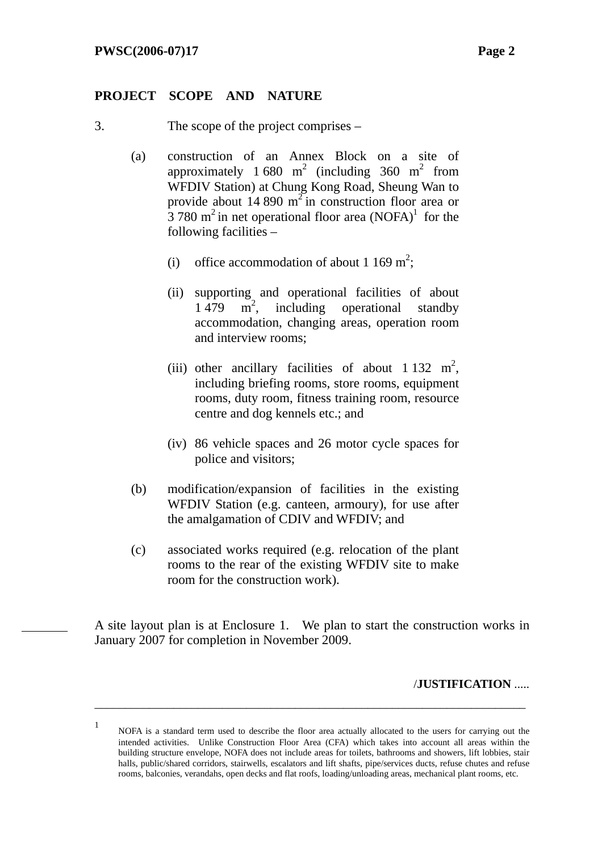#### **PROJECT SCOPE AND NATURE**

- 3. The scope of the project comprises
	- (a) construction of an Annex Block on a site of approximately 1 680 m<sup>2</sup> (including 360 m<sup>2</sup> from WFDIV Station) at Chung Kong Road, Sheung Wan to provide about 14 890  $m^2$  in construction floor area or  $\frac{3}{3}$  780 m<sup>2</sup> in net operational floor area (NOFA)<sup>1</sup> for the following facilities –
		- (i) office accommodation of about 1 169 m<sup>2</sup>;
		- (ii) supporting and operational facilities of about 1 479  $\overrightarrow{m}^2$ , including operational standby accommodation, changing areas, operation room and interview rooms;
		- (iii) other ancillary facilities of about  $1\,132\,$  m<sup>2</sup>, including briefing rooms, store rooms, equipment rooms, duty room, fitness training room, resource centre and dog kennels etc.; and
		- (iv) 86 vehicle spaces and 26 motor cycle spaces for police and visitors;
	- (b) modification/expansion of facilities in the existing WFDIV Station (e.g. canteen, armoury), for use after the amalgamation of CDIV and WFDIV; and
	- (c) associated works required (e.g. relocation of the plant rooms to the rear of the existing WFDIV site to make room for the construction work).

A site layout plan is at Enclosure 1. We plan to start the construction works in January 2007 for completion in November 2009.

#### /**JUSTIFICATION** .....

1 NOFA is a standard term used to describe the floor area actually allocated to the users for carrying out the intended activities. Unlike Construction Floor Area (CFA) which takes into account all areas within the building structure envelope, NOFA does not include areas for toilets, bathrooms and showers, lift lobbies, stair halls, public/shared corridors, stairwells, escalators and lift shafts, pipe/services ducts, refuse chutes and refuse rooms, balconies, verandahs, open decks and flat roofs, loading/unloading areas, mechanical plant rooms, etc.

\_\_\_\_\_\_\_\_\_\_\_\_\_\_\_\_\_\_\_\_\_\_\_\_\_\_\_\_\_\_\_\_\_\_\_\_\_\_\_\_\_\_\_\_\_\_\_\_\_\_\_\_\_\_\_\_\_\_\_\_\_\_\_\_\_\_\_\_\_\_\_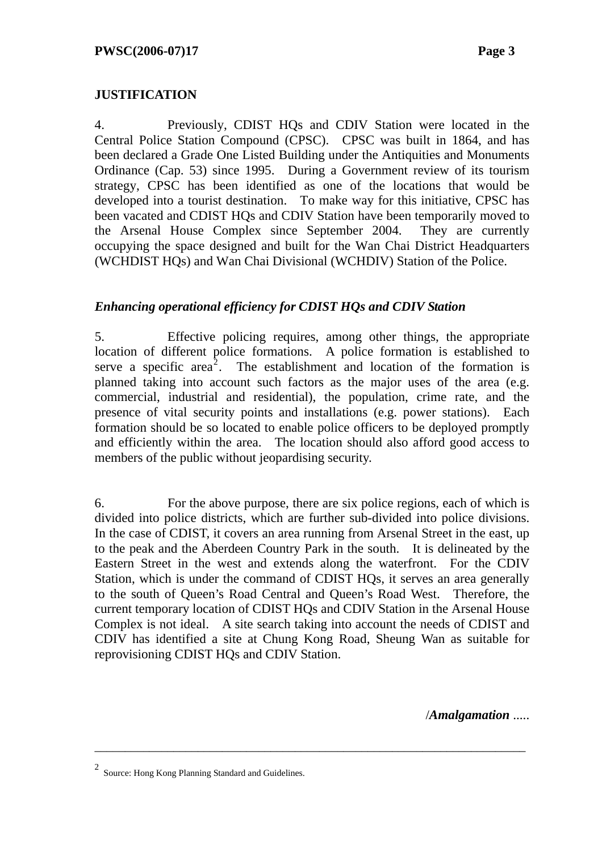# **JUSTIFICATION**

4. Previously, CDIST HQs and CDIV Station were located in the Central Police Station Compound (CPSC). CPSC was built in 1864, and has been declared a Grade One Listed Building under the Antiquities and Monuments Ordinance (Cap. 53) since 1995. During a Government review of its tourism strategy, CPSC has been identified as one of the locations that would be developed into a tourist destination. To make way for this initiative, CPSC has been vacated and CDIST HQs and CDIV Station have been temporarily moved to the Arsenal House Complex since September 2004. They are currently occupying the space designed and built for the Wan Chai District Headquarters (WCHDIST HQs) and Wan Chai Divisional (WCHDIV) Station of the Police.

## *Enhancing operational efficiency for CDIST HQs and CDIV Station*

5. Effective policing requires, among other things, the appropriate location of different police formations. A police formation is established to serve a specific area<sup>2</sup>. The establishment and location of the formation is planned taking into account such factors as the major uses of the area (e.g. commercial, industrial and residential), the population, crime rate, and the presence of vital security points and installations (e.g. power stations). Each formation should be so located to enable police officers to be deployed promptly and efficiently within the area. The location should also afford good access to members of the public without jeopardising security.

6. For the above purpose, there are six police regions, each of which is divided into police districts, which are further sub-divided into police divisions. In the case of CDIST, it covers an area running from Arsenal Street in the east, up to the peak and the Aberdeen Country Park in the south. It is delineated by the Eastern Street in the west and extends along the waterfront. For the CDIV Station, which is under the command of CDIST HQs, it serves an area generally to the south of Queen's Road Central and Queen's Road West. Therefore, the current temporary location of CDIST HQs and CDIV Station in the Arsenal House Complex is not ideal. A site search taking into account the needs of CDIST and CDIV has identified a site at Chung Kong Road, Sheung Wan as suitable for reprovisioning CDIST HQs and CDIV Station.

\_\_\_\_\_\_\_\_\_\_\_\_\_\_\_\_\_\_\_\_\_\_\_\_\_\_\_\_\_\_\_\_\_\_\_\_\_\_\_\_\_\_\_\_\_\_\_\_\_\_\_\_\_\_\_\_\_\_\_\_\_\_\_\_\_\_\_\_\_\_\_

/*Amalgamation* .....

<sup>2</sup> Source: Hong Kong Planning Standard and Guidelines.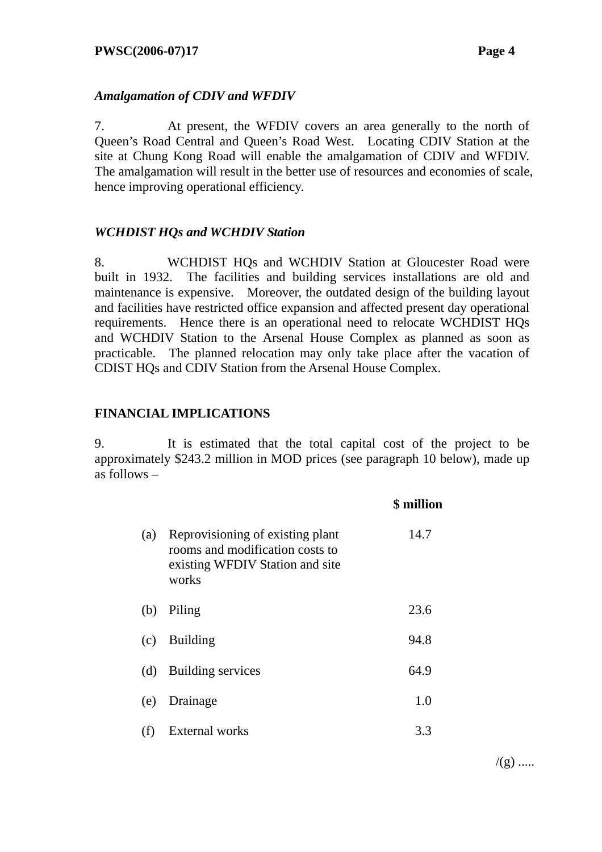## *Amalgamation of CDIV and WFDIV*

7. At present, the WFDIV covers an area generally to the north of Queen's Road Central and Queen's Road West. Locating CDIV Station at the site at Chung Kong Road will enable the amalgamation of CDIV and WFDIV. The amalgamation will result in the better use of resources and economies of scale, hence improving operational efficiency.

## *WCHDIST HQs and WCHDIV Station*

8. WCHDIST HQs and WCHDIV Station at Gloucester Road were built in 1932. The facilities and building services installations are old and maintenance is expensive. Moreover, the outdated design of the building layout and facilities have restricted office expansion and affected present day operational requirements. Hence there is an operational need to relocate WCHDIST HQs and WCHDIV Station to the Arsenal House Complex as planned as soon as practicable. The planned relocation may only take place after the vacation of CDIST HQs and CDIV Station from the Arsenal House Complex.

#### **FINANCIAL IMPLICATIONS**

9. It is estimated that the total capital cost of the project to be approximately \$243.2 million in MOD prices (see paragraph 10 below), made up as follows –

|     |                                                                                                                 | \$ million |
|-----|-----------------------------------------------------------------------------------------------------------------|------------|
| (a) | Reprovisioning of existing plant<br>rooms and modification costs to<br>existing WFDIV Station and site<br>works | 14.7       |
| (b) | Piling                                                                                                          | 23.6       |
| (c) | <b>Building</b>                                                                                                 | 94.8       |
| (d) | Building services                                                                                               | 64.9       |
| (e) | Drainage                                                                                                        | 1.0        |
| (f) | <b>External works</b>                                                                                           | 3.3        |

 $/(g)$  .....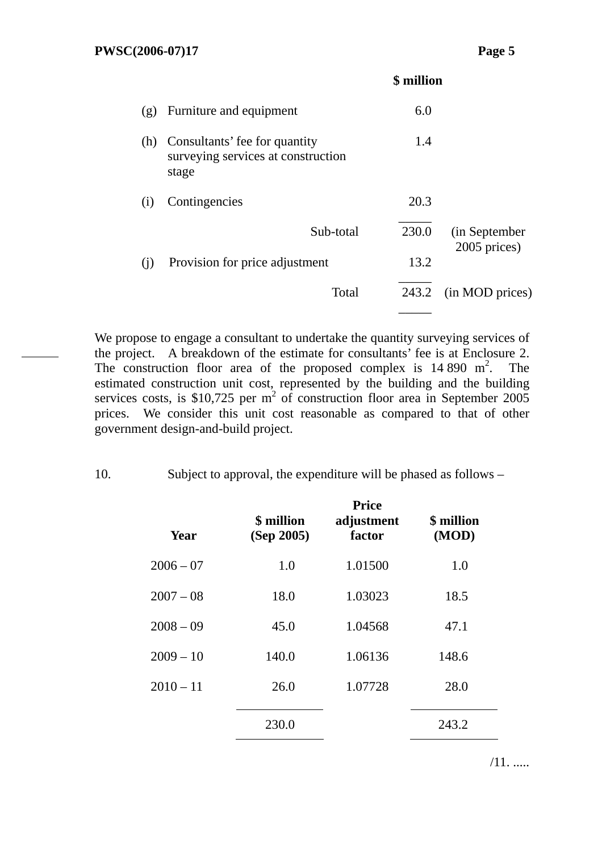|     |                                                                              | \$ million |                               |
|-----|------------------------------------------------------------------------------|------------|-------------------------------|
| (g) | Furniture and equipment                                                      | 6.0        |                               |
| (h) | Consultants' fee for quantity<br>surveying services at construction<br>stage | 1.4        |                               |
| (i) | Contingencies                                                                | 20.3       |                               |
|     | Sub-total                                                                    | 230.0      | (in September<br>2005 prices) |
| (i) | Provision for price adjustment                                               | 13.2       |                               |
|     | Total                                                                        | 243.2      | (in MOD prices)               |
|     |                                                                              |            |                               |

We propose to engage a consultant to undertake the quantity surveying services of the project. A breakdown of the estimate for consultants' fee is at Enclosure 2. The construction floor area of the proposed complex is  $14\,890\,$  m<sup>2</sup>. The estimated construction unit cost, represented by the building and the building services costs, is \$10,725 per  $m^2$  of construction floor area in September 2005 prices. We consider this unit cost reasonable as compared to that of other government design-and-build project.

10. Subject to approval, the expenditure will be phased as follows –

| Year        | \$ million<br>(Sep 2005) | <b>Price</b><br>adjustment<br>factor | \$ million<br>(MOD) |
|-------------|--------------------------|--------------------------------------|---------------------|
| $2006 - 07$ | 1.0                      | 1.01500                              | 1.0                 |
| $2007 - 08$ | 18.0                     | 1.03023                              | 18.5                |
| $2008 - 09$ | 45.0                     | 1.04568                              | 47.1                |
| $2009 - 10$ | 140.0                    | 1.06136                              | 148.6               |
| $2010 - 11$ | 26.0                     | 1.07728                              | 28.0                |
|             | 230.0                    |                                      | 243.2               |

/11. .....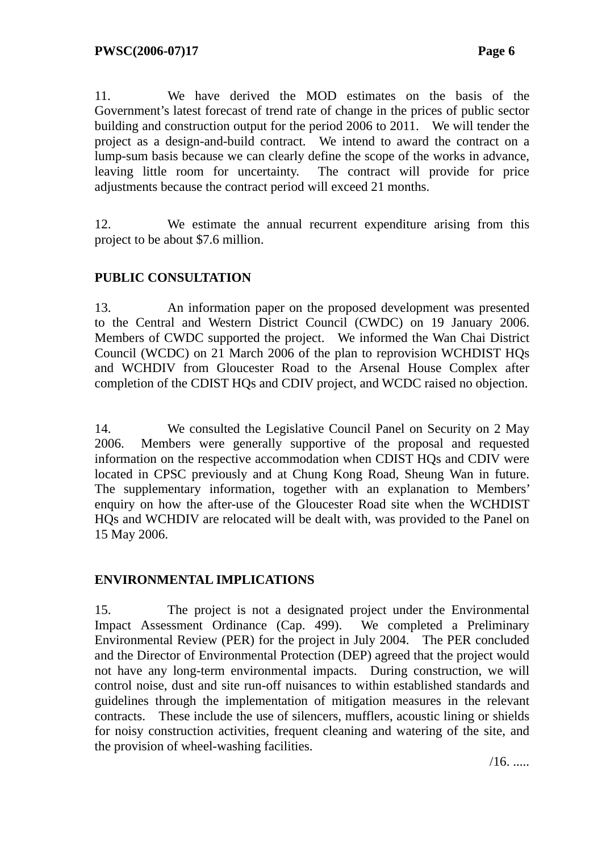11. We have derived the MOD estimates on the basis of the Government's latest forecast of trend rate of change in the prices of public sector building and construction output for the period 2006 to 2011. We will tender the project as a design-and-build contract. We intend to award the contract on a lump-sum basis because we can clearly define the scope of the works in advance, leaving little room for uncertainty. The contract will provide for price adjustments because the contract period will exceed 21 months.

12. We estimate the annual recurrent expenditure arising from this project to be about \$7.6 million.

# **PUBLIC CONSULTATION**

13. An information paper on the proposed development was presented to the Central and Western District Council (CWDC) on 19 January 2006. Members of CWDC supported the project. We informed the Wan Chai District Council (WCDC) on 21 March 2006 of the plan to reprovision WCHDIST HQs and WCHDIV from Gloucester Road to the Arsenal House Complex after completion of the CDIST HQs and CDIV project, and WCDC raised no objection.

14. We consulted the Legislative Council Panel on Security on 2 May 2006. Members were generally supportive of the proposal and requested information on the respective accommodation when CDIST HQs and CDIV were located in CPSC previously and at Chung Kong Road, Sheung Wan in future. The supplementary information, together with an explanation to Members' enquiry on how the after-use of the Gloucester Road site when the WCHDIST HQs and WCHDIV are relocated will be dealt with, was provided to the Panel on 15 May 2006.

# **ENVIRONMENTAL IMPLICATIONS**

15. The project is not a designated project under the Environmental Impact Assessment Ordinance (Cap. 499). We completed a Preliminary Environmental Review (PER) for the project in July 2004. The PER concluded and the Director of Environmental Protection (DEP) agreed that the project would not have any long-term environmental impacts. During construction, we will control noise, dust and site run-off nuisances to within established standards and guidelines through the implementation of mitigation measures in the relevant contracts. These include the use of silencers, mufflers, acoustic lining or shields for noisy construction activities, frequent cleaning and watering of the site, and the provision of wheel-washing facilities.

/16. .....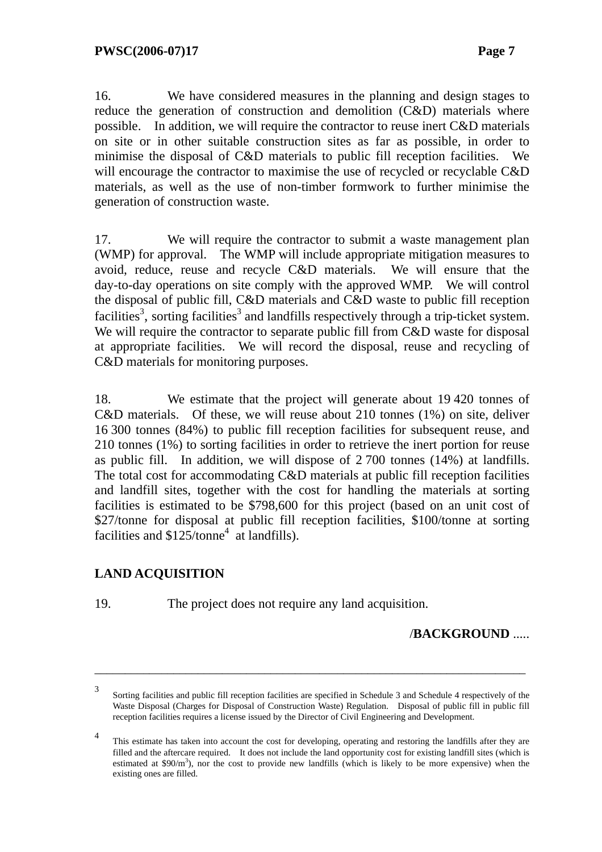16. We have considered measures in the planning and design stages to reduce the generation of construction and demolition (C&D) materials where possible. In addition, we will require the contractor to reuse inert C&D materials on site or in other suitable construction sites as far as possible, in order to minimise the disposal of C&D materials to public fill reception facilities. We will encourage the contractor to maximise the use of recycled or recyclable C&D materials, as well as the use of non-timber formwork to further minimise the generation of construction waste.

17. We will require the contractor to submit a waste management plan (WMP) for approval. The WMP will include appropriate mitigation measures to avoid, reduce, reuse and recycle C&D materials. We will ensure that the day-to-day operations on site comply with the approved WMP. We will control the disposal of public fill, C&D materials and C&D waste to public fill reception facilities<sup>3</sup>, sorting facilities<sup>3</sup> and landfills respectively through a trip-ticket system. We will require the contractor to separate public fill from C&D waste for disposal at appropriate facilities. We will record the disposal, reuse and recycling of C&D materials for monitoring purposes.

18. We estimate that the project will generate about 19 420 tonnes of C&D materials. Of these, we will reuse about 210 tonnes (1%) on site, deliver 16 300 tonnes (84%) to public fill reception facilities for subsequent reuse, and 210 tonnes (1%) to sorting facilities in order to retrieve the inert portion for reuse as public fill. In addition, we will dispose of 2 700 tonnes (14%) at landfills. The total cost for accommodating C&D materials at public fill reception facilities and landfill sites, together with the cost for handling the materials at sorting facilities is estimated to be \$798,600 for this project (based on an unit cost of \$27/tonne for disposal at public fill reception facilities, \$100/tonne at sorting facilities and  $$125/tonne<sup>4</sup>$  at landfills).

# **LAND ACQUISITION**

19. The project does not require any land acquisition.

#### /**BACKGROUND** .....

\_\_\_\_\_\_\_\_\_\_\_\_\_\_\_\_\_\_\_\_\_\_\_\_\_\_\_\_\_\_\_\_\_\_\_\_\_\_\_\_\_\_\_\_\_\_\_\_\_\_\_\_\_\_\_\_\_\_\_\_\_\_\_\_\_\_\_\_\_\_\_

<sup>3</sup> Sorting facilities and public fill reception facilities are specified in Schedule 3 and Schedule 4 respectively of the Waste Disposal (Charges for Disposal of Construction Waste) Regulation. Disposal of public fill in public fill reception facilities requires a license issued by the Director of Civil Engineering and Development.

<sup>4</sup> This estimate has taken into account the cost for developing, operating and restoring the landfills after they are filled and the aftercare required. It does not include the land opportunity cost for existing landfill sites (which is estimated at  $$90/m<sup>3</sup>$ ), nor the cost to provide new landfills (which is likely to be more expensive) when the existing ones are filled.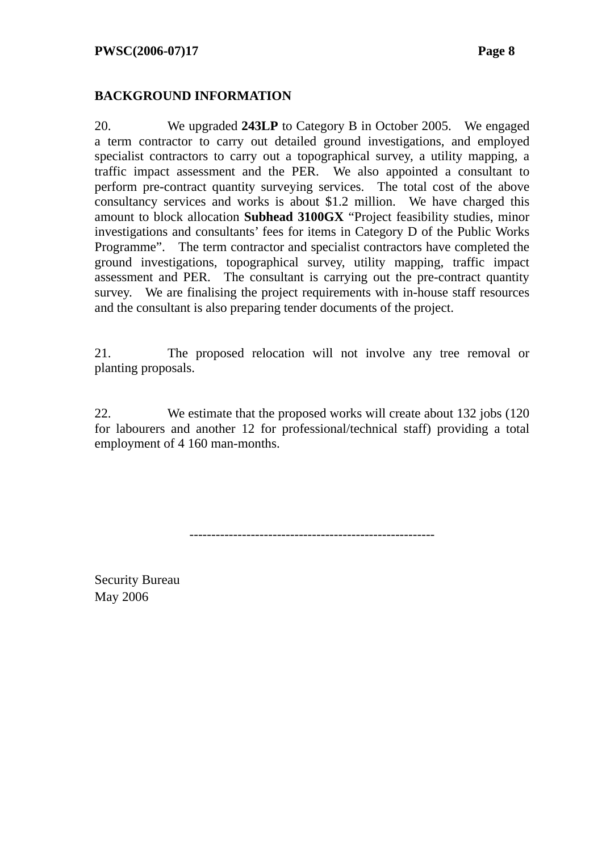## **BACKGROUND INFORMATION**

20. We upgraded **243LP** to Category B in October 2005. We engaged a term contractor to carry out detailed ground investigations, and employed specialist contractors to carry out a topographical survey, a utility mapping, a traffic impact assessment and the PER. We also appointed a consultant to perform pre-contract quantity surveying services. The total cost of the above consultancy services and works is about \$1.2 million. We have charged this amount to block allocation **Subhead 3100GX** "Project feasibility studies, minor investigations and consultants' fees for items in Category D of the Public Works Programme". The term contractor and specialist contractors have completed the ground investigations, topographical survey, utility mapping, traffic impact assessment and PER. The consultant is carrying out the pre-contract quantity survey. We are finalising the project requirements with in-house staff resources and the consultant is also preparing tender documents of the project.

21. The proposed relocation will not involve any tree removal or planting proposals.

22. We estimate that the proposed works will create about 132 jobs (120 for labourers and another 12 for professional/technical staff) providing a total employment of 4 160 man-months.

--------------------------------------------------------

Security Bureau May 2006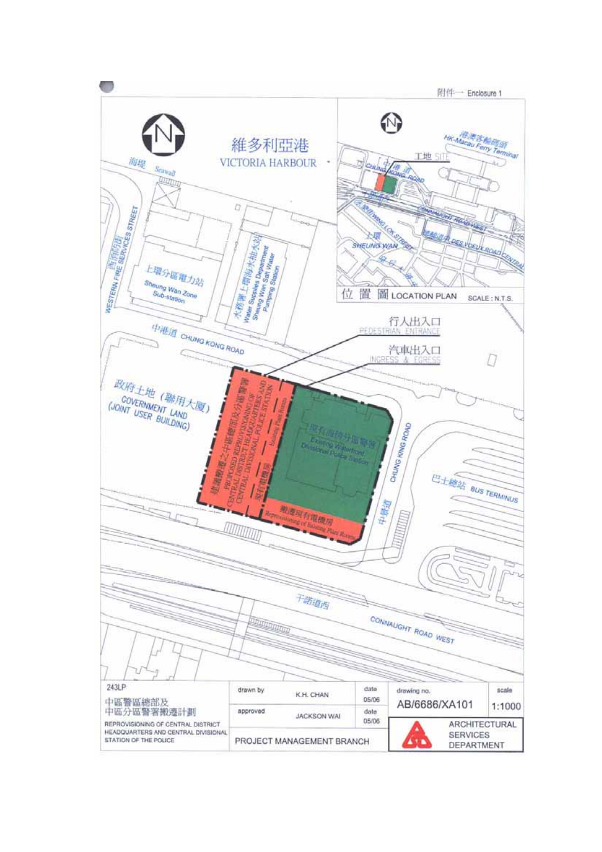